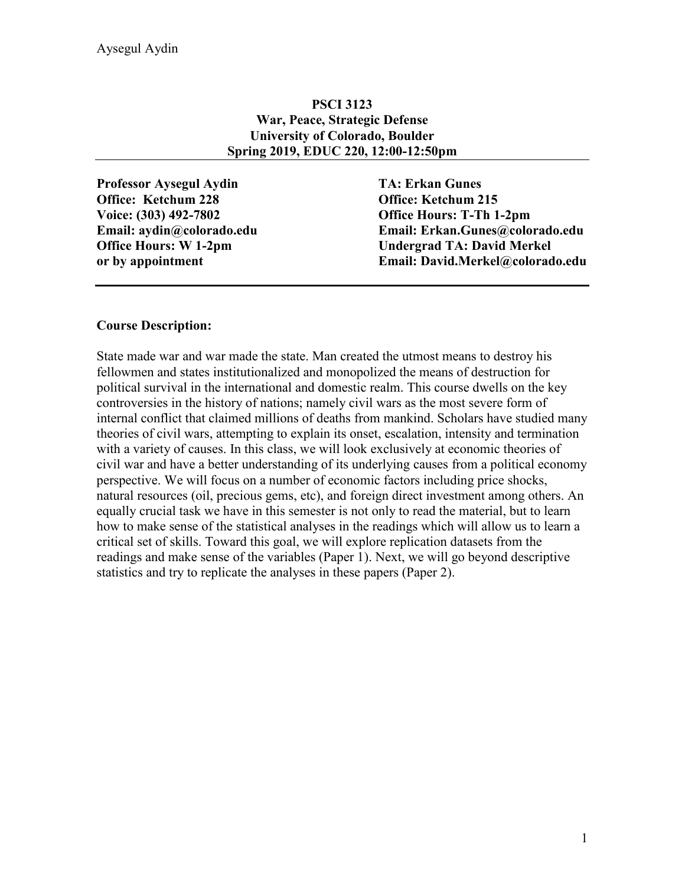### **PSCI 3123 War, Peace, Strategic Defense University of Colorado, Boulder Spring 2019, EDUC 220, 12:00-12:50pm**

**Professor Aysegul Aydin TA: Erkan Gunes Office: Ketchum 228 Office: Ketchum 215 Voice: (303) 492-7802 Office Hours: T-Th 1-2pm**

**Email: aydin@colorado.edu Email: Erkan.Gunes@colorado.edu Office Hours: W 1-2pm Undergrad TA: David Merkel or by appointment Email: David.Merkel@colorado.edu**

#### **Course Description:**

State made war and war made the state. Man created the utmost means to destroy his fellowmen and states institutionalized and monopolized the means of destruction for political survival in the international and domestic realm. This course dwells on the key controversies in the history of nations; namely civil wars as the most severe form of internal conflict that claimed millions of deaths from mankind. Scholars have studied many theories of civil wars, attempting to explain its onset, escalation, intensity and termination with a variety of causes. In this class, we will look exclusively at economic theories of civil war and have a better understanding of its underlying causes from a political economy perspective. We will focus on a number of economic factors including price shocks, natural resources (oil, precious gems, etc), and foreign direct investment among others. An equally crucial task we have in this semester is not only to read the material, but to learn how to make sense of the statistical analyses in the readings which will allow us to learn a critical set of skills. Toward this goal, we will explore replication datasets from the readings and make sense of the variables (Paper 1). Next, we will go beyond descriptive statistics and try to replicate the analyses in these papers (Paper 2).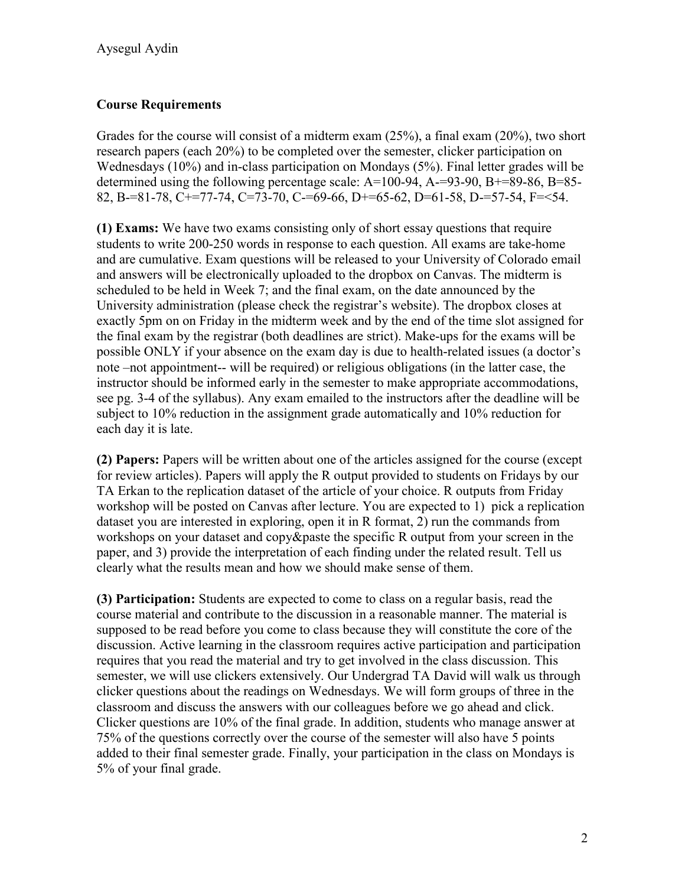# **Course Requirements**

Grades for the course will consist of a midterm exam (25%), a final exam (20%), two short research papers (each 20%) to be completed over the semester, clicker participation on Wednesdays (10%) and in-class participation on Mondays (5%). Final letter grades will be determined using the following percentage scale: A=100-94, A-=93-90, B+=89-86, B=85- 82, B-=81-78, C+=77-74, C=73-70, C-=69-66, D+=65-62, D=61-58, D-=57-54, F=<54.

**(1) Exams:** We have two exams consisting only of short essay questions that require students to write 200-250 words in response to each question. All exams are take-home and are cumulative. Exam questions will be released to your University of Colorado email and answers will be electronically uploaded to the dropbox on Canvas. The midterm is scheduled to be held in Week 7; and the final exam, on the date announced by the University administration (please check the registrar's website). The dropbox closes at exactly 5pm on on Friday in the midterm week and by the end of the time slot assigned for the final exam by the registrar (both deadlines are strict). Make-ups for the exams will be possible ONLY if your absence on the exam day is due to health-related issues (a doctor's note –not appointment-- will be required) or religious obligations (in the latter case, the instructor should be informed early in the semester to make appropriate accommodations, see pg. 3-4 of the syllabus). Any exam emailed to the instructors after the deadline will be subject to 10% reduction in the assignment grade automatically and 10% reduction for each day it is late.

**(2) Papers:** Papers will be written about one of the articles assigned for the course (except for review articles). Papers will apply the R output provided to students on Fridays by our TA Erkan to the replication dataset of the article of your choice. R outputs from Friday workshop will be posted on Canvas after lecture. You are expected to 1) pick a replication dataset you are interested in exploring, open it in R format, 2) run the commands from workshops on your dataset and copy&paste the specific R output from your screen in the paper, and 3) provide the interpretation of each finding under the related result. Tell us clearly what the results mean and how we should make sense of them.

**(3) Participation:** Students are expected to come to class on a regular basis, read the course material and contribute to the discussion in a reasonable manner. The material is supposed to be read before you come to class because they will constitute the core of the discussion. Active learning in the classroom requires active participation and participation requires that you read the material and try to get involved in the class discussion. This semester, we will use clickers extensively. Our Undergrad TA David will walk us through clicker questions about the readings on Wednesdays. We will form groups of three in the classroom and discuss the answers with our colleagues before we go ahead and click. Clicker questions are 10% of the final grade. In addition, students who manage answer at 75% of the questions correctly over the course of the semester will also have 5 points added to their final semester grade. Finally, your participation in the class on Mondays is 5% of your final grade.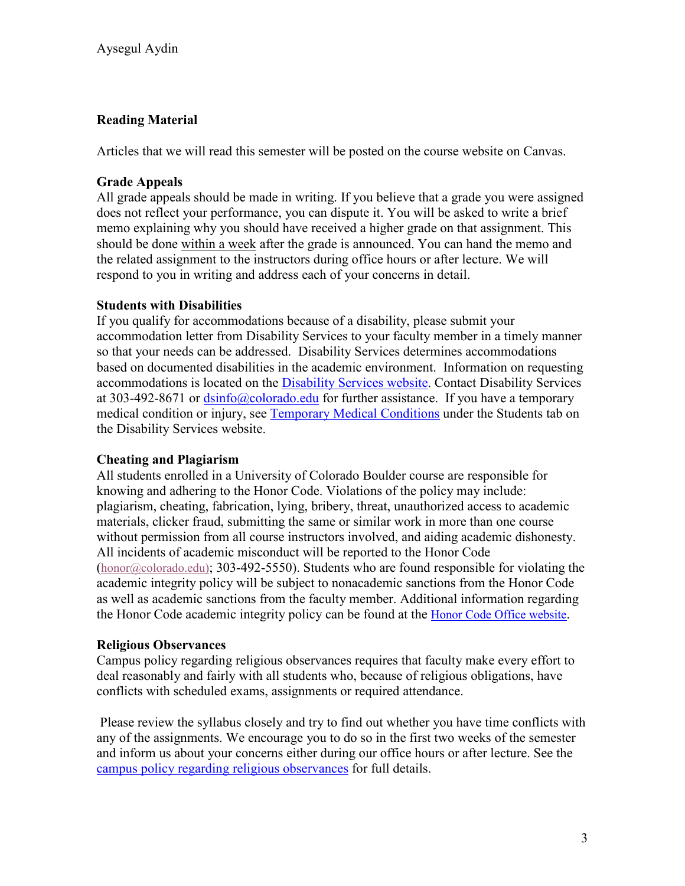# **Reading Material**

Articles that we will read this semester will be posted on the course website on Canvas.

## **Grade Appeals**

All grade appeals should be made in writing. If you believe that a grade you were assigned does not reflect your performance, you can dispute it. You will be asked to write a brief memo explaining why you should have received a higher grade on that assignment. This should be done within a week after the grade is announced. You can hand the memo and the related assignment to the instructors during office hours or after lecture. We will respond to you in writing and address each of your concerns in detail.

## **Students with Disabilities**

If you qualify for accommodations because of a disability, please submit your accommodation letter from Disability Services to your faculty member in a timely manner so that your needs can be addressed. Disability Services determines accommodations based on documented disabilities in the academic environment. Information on requesting accommodations is located on the [Disability Services website.](http://www.colorado.edu/disabilityservices/students) Contact Disability Services at 303-492-8671 or  $\frac{dsinfo(@colorado.edu)}{dsinfo(@colorado.edu)}$  for further assistance. If you have a temporary medical condition or injury, see [Temporary Medical Conditions](http://www.colorado.edu/disabilityservices/students/temporary-medical-conditions) under the Students tab on the Disability Services website.

## **Cheating and Plagiarism**

All students enrolled in a University of Colorado Boulder course are responsible for knowing and adhering to the Honor Code. Violations of the policy may include: plagiarism, cheating, fabrication, lying, bribery, threat, unauthorized access to academic materials, clicker fraud, submitting the same or similar work in more than one course without permission from all course instructors involved, and aiding academic dishonesty. All incidents of academic misconduct will be reported to the Honor Code [\(honor@colorado.edu\)](mailto:honor@colorado.edu); 303-492-5550). Students who are found responsible for violating the academic integrity policy will be subject to nonacademic sanctions from the Honor Code as well as academic sanctions from the faculty member. Additional information regarding the Honor Code academic integrity policy can be found at the [Honor Code Office website.](https://www.colorado.edu/osccr/honor-code)

## **Religious Observances**

Campus policy regarding religious observances requires that faculty make every effort to deal reasonably and fairly with all students who, because of religious obligations, have conflicts with scheduled exams, assignments or required attendance.

Please review the syllabus closely and try to find out whether you have time conflicts with any of the assignments. We encourage you to do so in the first two weeks of the semester and inform us about your concerns either during our office hours or after lecture. See the [campus policy regarding religious observances](http://www.colorado.edu/policies/observance-religious-holidays-and-absences-classes-andor-exams) for full details.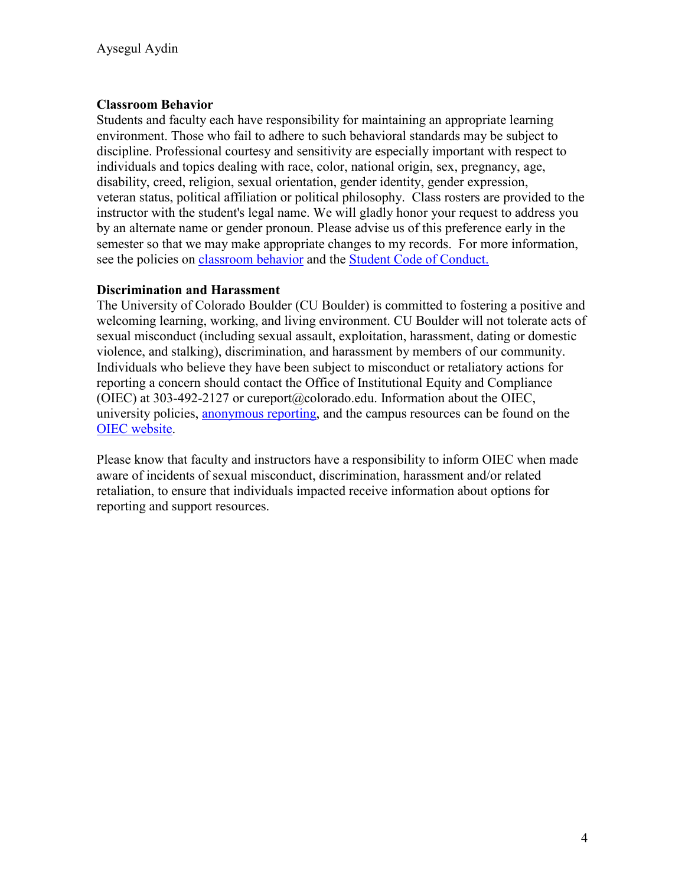### **Classroom Behavior**

Students and faculty each have responsibility for maintaining an appropriate learning environment. Those who fail to adhere to such behavioral standards may be subject to discipline. Professional courtesy and sensitivity are especially important with respect to individuals and topics dealing with race, color, national origin, sex, pregnancy, age, disability, creed, religion, sexual orientation, gender identity, gender expression, veteran status, political affiliation or political philosophy. Class rosters are provided to the instructor with the student's legal name. We will gladly honor your request to address you by an alternate name or gender pronoun. Please advise us of this preference early in the semester so that we may make appropriate changes to my records. For more information, see the policies on [classroom](http://www.colorado.edu/policies/student-classroom-and-course-related-behavior) behavior and the [Student Code of Conduct.](http://www.colorado.edu/osccr/)

### **Discrimination and Harassment**

The University of Colorado Boulder (CU Boulder) is committed to fostering a positive and welcoming learning, working, and living environment. CU Boulder will not tolerate acts of sexual misconduct (including sexual assault, exploitation, harassment, dating or domestic violence, and stalking), discrimination, and harassment by members of our community. Individuals who believe they have been subject to misconduct or retaliatory actions for reporting a concern should contact the Office of Institutional Equity and Compliance (OIEC) at 303-492-2127 or cureport@colorado.edu. Information about the OIEC, university policies, [anonymous reporting,](https://cuboulder.qualtrics.com/jfe/form/SV_0PnqVK4kkIJIZnf) and the campus resources can be found on the [OIEC website.](http://www.colorado.edu/institutionalequity/)

Please know that faculty and instructors have a responsibility to inform OIEC when made aware of incidents of sexual misconduct, discrimination, harassment and/or related retaliation, to ensure that individuals impacted receive information about options for reporting and support resources.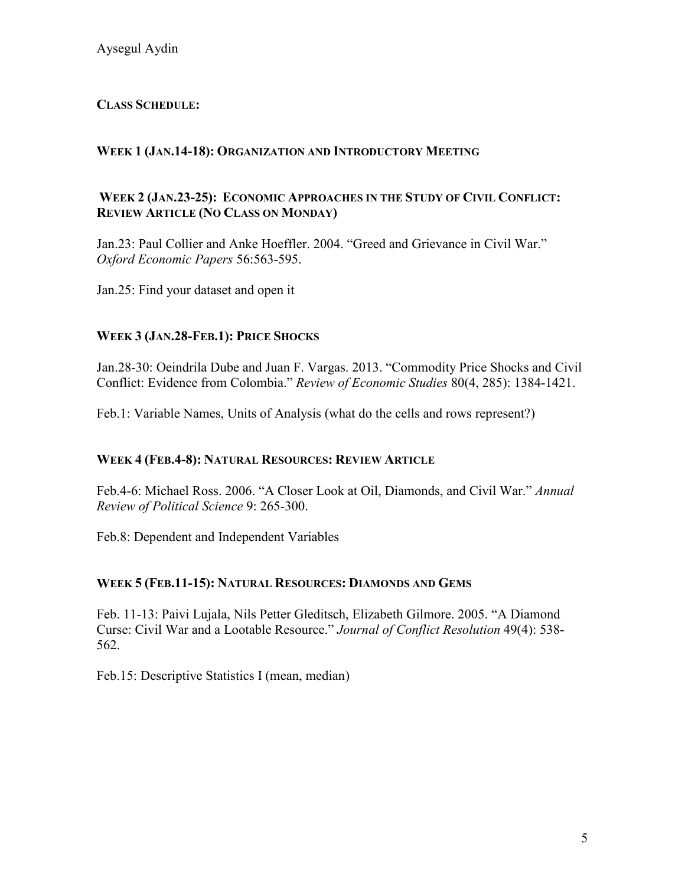# **CLASS SCHEDULE:**

# **WEEK 1 (JAN.14-18): ORGANIZATION AND INTRODUCTORY MEETING**

## **WEEK 2 (JAN.23-25): ECONOMIC APPROACHES IN THE STUDY OF CIVIL CONFLICT: REVIEW ARTICLE (NO CLASS ON MONDAY)**

Jan.23: Paul Collier and Anke Hoeffler. 2004. "Greed and Grievance in Civil War." *Oxford Economic Papers* 56:563-595.

Jan.25: Find your dataset and open it

## **WEEK 3 (JAN.28-FEB.1): PRICE SHOCKS**

Jan.28-30: Oeindrila Dube and Juan F. Vargas. 2013. "Commodity Price Shocks and Civil Conflict: Evidence from Colombia." *Review of Economic Studies* 80(4, 285): 1384-1421.

Feb.1: Variable Names, Units of Analysis (what do the cells and rows represent?)

## **WEEK 4 (FEB.4-8): NATURAL RESOURCES: REVIEW ARTICLE**

Feb.4-6: Michael Ross. 2006. "A Closer Look at Oil, Diamonds, and Civil War." *Annual Review of Political Science* 9: 265-300.

Feb.8: Dependent and Independent Variables

## **WEEK 5 (FEB.11-15): NATURAL RESOURCES: DIAMONDS AND GEMS**

Feb. 11-13: Paivi Lujala, Nils Petter Gleditsch, Elizabeth Gilmore. 2005. "A Diamond Curse: Civil War and a Lootable Resource." *Journal of Conflict Resolution* 49(4): 538- 562.

Feb.15: Descriptive Statistics I (mean, median)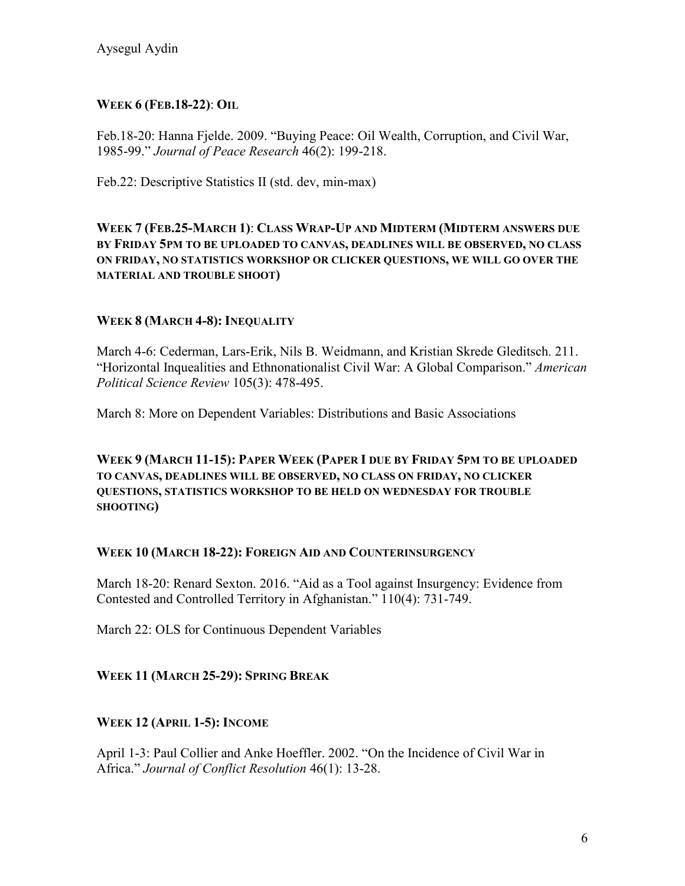## **WEEK 6 (FEB.18-22)**: **OIL**

Feb.18-20: Hanna Fjelde. 2009. "Buying Peace: Oil Wealth, Corruption, and Civil War, 1985-99." *Journal of Peace Research* 46(2): 199-218.

Feb.22: Descriptive Statistics II (std. dev, min-max)

**WEEK 7 (FEB.25-MARCH 1)**: **CLASS WRAP-UP AND MIDTERM (MIDTERM ANSWERS DUE BY FRIDAY 5PM TO BE UPLOADED TO CANVAS, DEADLINES WILL BE OBSERVED, NO CLASS ON FRIDAY, NO STATISTICS WORKSHOP OR CLICKER QUESTIONS, WE WILL GO OVER THE MATERIAL AND TROUBLE SHOOT)**

## **WEEK 8 (MARCH 4-8): INEQUALITY**

March 4-6: Cederman, Lars-Erik, Nils B. Weidmann, and Kristian Skrede Gleditsch. 211. "Horizontal Inquealities and Ethnonationalist Civil War: A Global Comparison." *American Political Science Review* 105(3): 478-495.

March 8: More on Dependent Variables: Distributions and Basic Associations

**WEEK 9 (MARCH 11-15): PAPER WEEK (PAPER I DUE BY FRIDAY 5PM TO BE UPLOADED TO CANVAS, DEADLINES WILL BE OBSERVED, NO CLASS ON FRIDAY, NO CLICKER QUESTIONS, STATISTICS WORKSHOP TO BE HELD ON WEDNESDAY FOR TROUBLE SHOOTING)**

## **WEEK 10 (MARCH 18-22): FOREIGN AID AND COUNTERINSURGENCY**

March 18-20: Renard Sexton. 2016. "Aid as a Tool against Insurgency: Evidence from Contested and Controlled Territory in Afghanistan." 110(4): 731-749.

March 22: OLS for Continuous Dependent Variables

# **WEEK 11 (MARCH 25-29): SPRING BREAK**

## **WEEK 12 (APRIL 1-5): INCOME**

April 1-3: Paul Collier and Anke Hoeffler. 2002. "On the Incidence of Civil War in Africa." *Journal of Conflict Resolution* 46(1): 13-28.